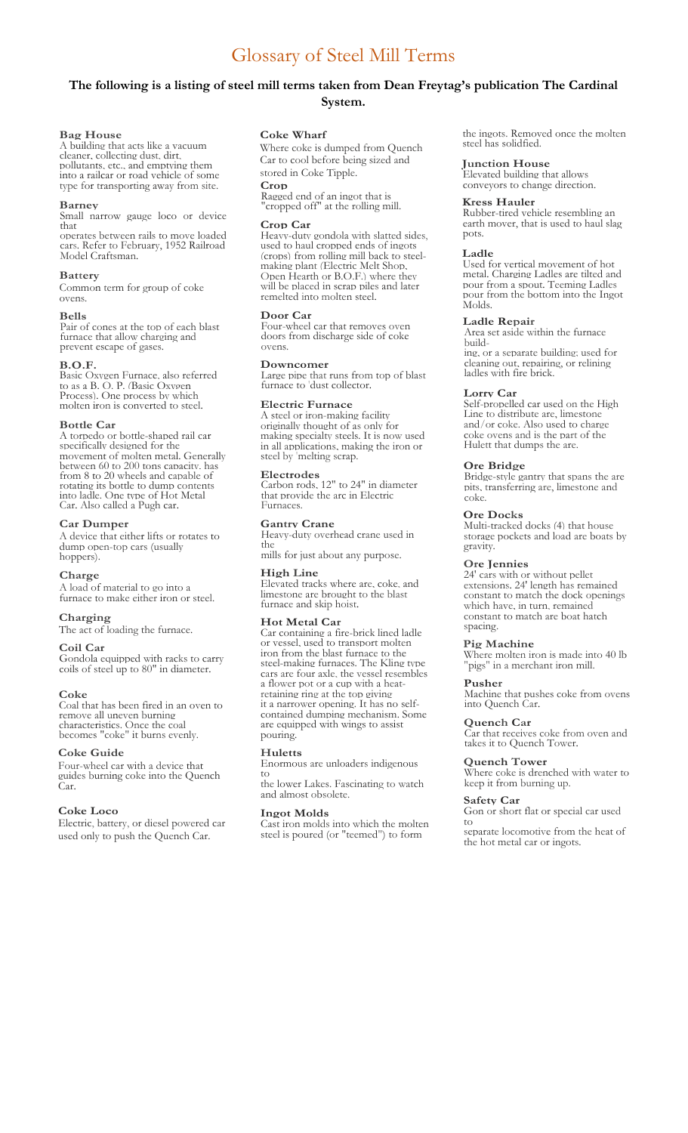# **The following is a listing of steel mill terms taken from Dean Freytag's publication The Cardinal System.**

### **Bag House**

A building that acts like a vacuum cleaner, collecting dust, dirt, pollutants, etc., and emptying them into a railcar or road vehicle of some type for transporting away from site.

### **Barney**

Small narrow gauge loco or device that

operates between rails to move loaded cars. Refer to February, 1952 Railroad Model Craftsman.

# **Battery**

Common term for group of coke ovens.

#### **Bells**

Pair of cones at the top of each blast furnace that allow charging and prevent escape of gases.

### **B.O.F.**

Basic Oxygen Furnace, also referred to as a B. O. P. (Basic Oxygen Process). One process by which molten iron is converted to steel.

#### **Bottle Car**

A torpedo or bottle-shaped rail car specifically designed for the movement of molten metal. Generally between 60 to 200 tons capacity, has from 8 to 20 wheels and capable of rotating its bottle to dump contents into ladle. One type of Hot Metal Car. Also called a Pugh car.

### **Car Dumper**

A device that either lifts or rotates to dump open-top cars (usually hoppers).

### **Charge**

A load of material to go into a furnace to make either iron or steel.

# **Charging**

The act of loading the furnace.

### **Coil Car**

Gondola equipped with racks to carry coils of steel up to 80" in diameter.

### **Coke**

Coal that has been fired in an oven to remove all uneven burning characteristics. Once the coal becomes "coke" it burns evenly.

### **Coke Guide**

Four-wheel car with a device that guides burning coke into the Quench Car.

### **Coke Loco**

Electric, battery, or diesel powered car used only to push the Quench Car.

### **Coke Wharf**

Where coke is dumped from Quench Car to cool before being sized and stored in Coke Tipple. **Crop** 

Ragged end of an ingot that is "cropped off" at the rolling mill.

#### **Crop Car**

Heavy-duty gondola with slatted sides, used to haul cropped ends of ingots (crops) from rolling mill back to steelmaking plant (Electric Melt Shop, Open Hearth or B.O.F.) where they will be placed in scrap piles and later remelted into molten steel.

### **Door Car**

Four-wheel car that removes oven doors from discharge side of coke ovens.

#### **Downcomer**

Large pipe that runs from top of blast furnace to 'dust collector.

### **Electric Furnace**

A steel or iron-making facility originally thought of as only for making specialty steels. It is now used in all applications, making the iron or steel by 'melting scrap.

# **Electrodes**

Carbon rods, 12" to 24" in diameter that provide the arc in Electric Furnaces.

# **Gantry Crane**

Heavy-duty overhead crane used in the

mills for just about any purpose.

# **High Line**

Elevated tracks where are, coke, and limestone are brought to the blast furnace and skip hoist.

### **Hot Metal Car**

Car containing a fire-brick lined ladle or vessel, used to transport molten iron from the blast furnace to the steel-making furnaces. The Kling type cars are four axle, the vessel resembles a flower pot or a cup with a heatretaining ring at the top giving it a narrower opening. It has no selfcontained dumping mechanism. Some are equipped with wings to assist pouring.

#### **Huletts**

Enormous are unloaders indigenous to

the lower Lakes. Fascinating to watch and almost obsolete.

### **Ingot Molds**

Cast iron molds into which the molten steel is poured (or "teemed") to form

the ingots. Removed once the molten steel has solidfied.

### **Junction House**

Elevated building that allows conveyors to change direction.

## **Kress Hauler**

Rubber-tired vehicle resembling an earth mover, that is used to haul slag pots.

### **Ladle**

Used for vertical movement of hot metal. Charging Ladles are tilted and pour from a spout. Teeming Ladles pour from the bottom into the Ingot Molds.

# **Ladle Repair**

Area set aside within the furnace building, or a separate building; used for

cleaning out, repairing, or relining ladles with fire brick.

### **Lorry Car**

Self-propelled car used on the High Line to distribute are, limestone and/or coke. Also used to charge coke ovens and is the part of the Hulett that dumps the are.

### **Ore Bridge**

Bridge-style gantry that spans the are pits, transferring are, limestone and coke.

#### **Ore Docks**

Multi-tracked docks (4) that house storage pockets and load are boats by gravity.

#### **Ore Jennies**

24' cars with or without pellet extensions. 24' length has remained constant to match the dock openings which have, in turn, remained constant to match are boat hatch spacing.

#### **Pig Machine**

Where molten iron is made into 40 lb "pigs" in a merchant iron mill.

### **Pusher**

Machine that pushes coke from ovens into Quench Car.

### **Quench Car**

Car that receives coke from oven and takes it to Quench Tower.

### **Quench Tower**

Where coke is drenched with water to keep it from burning up.

# **Safety Car**

Gon or short flat or special car used to

separate locomotive from the heat of the hot metal car or ingots.